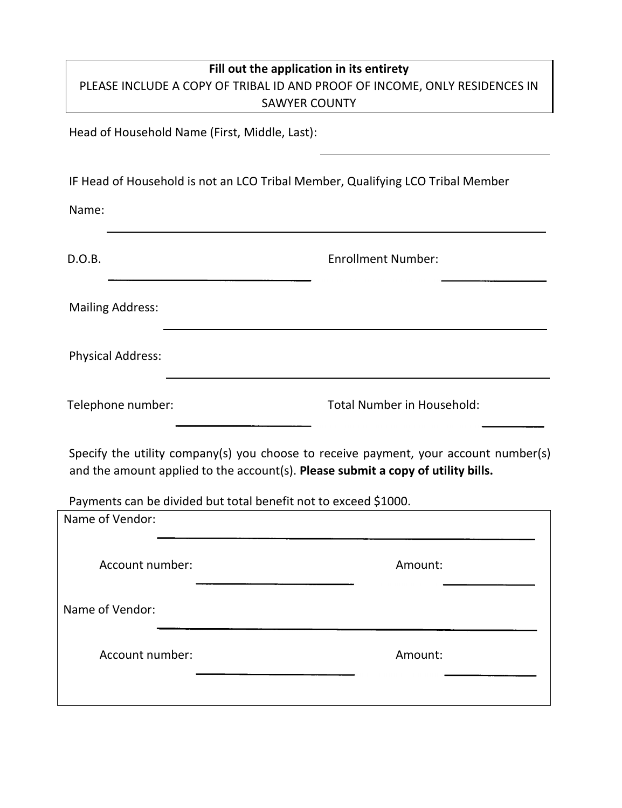## **Fill out the application in its entirety** PLEASE INCLUDE A COPY OF TRIBAL ID AND PROOF OF INCOME, ONLY RESIDENCES IN SAWYER COUNTY

Head of Household Name (First, Middle, Last):

IF Head of Household is not an LCO Tribal Member, Qualifying LCO Tribal Member

Name:

| D.O.B.                                                                             | <b>Enrollment Number:</b>                                                                                                                                                |
|------------------------------------------------------------------------------------|--------------------------------------------------------------------------------------------------------------------------------------------------------------------------|
| <b>Mailing Address:</b>                                                            |                                                                                                                                                                          |
| <b>Physical Address:</b>                                                           |                                                                                                                                                                          |
| Telephone number:                                                                  | <b>Total Number in Household:</b>                                                                                                                                        |
| Payments can be divided but total benefit not to exceed \$1000.<br>Name of Vendor: | Specify the utility company(s) you choose to receive payment, your account number(s)<br>and the amount applied to the account(s). Please submit a copy of utility bills. |
| Account number:                                                                    | Amount:                                                                                                                                                                  |
| Name of Vendor:                                                                    |                                                                                                                                                                          |
| Account number:                                                                    | Amount:                                                                                                                                                                  |